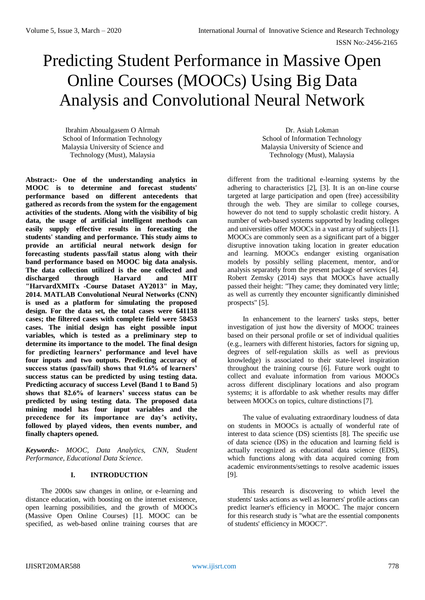# Predicting Student Performance in Massive Open Online Courses (MOOCs) Using Big Data Analysis and Convolutional Neural Network

Ibrahim Aboualgasem O Alrmah School of Information Technology Malaysia University of Science and Technology (Must), Malaysia

**Abstract:- One of the understanding analytics in MOOC is to determine and forecast students' performance based on different antecedents that gathered as records from the system for the engagement activities of the students. Along with the visibility of big data, the usage of artificial intelligent methods can easily supply effective results in forecasting the students' standing and performance. This study aims to provide an artificial neural network design for forecasting students pass/fail status along with their band performance based on MOOC big data analysis. The data collection utilized is the one collected and discharged through Harvard and MIT "HarvardXMITx -Course Dataset AY2013" in May, 2014. MATLAB Convolutional Neural Networks (CNN) is used as a platform for simulating the proposed design. For the data set, the total cases were 641138 cases; the filtered cases with complete field were 58453 cases. The initial design has eight possible input variables, which is tested as a preliminary step to determine its importance to the model. The final design for predicting learners' performance and level have four inputs and two outputs. Predicting accuracy of success status (pass/fail) shows that 91.6% of learners' success status can be predicted by using testing data. Predicting accuracy of success Level (Band 1 to Band 5) shows that 82.6% of learners' success status can be predicted by using testing data. The proposed data mining model has four input variables and the precedence for its importance are day's activity, followed by played videos, then events number, and finally chapters opened.**

*Keywords:- MOOC, Data Analytics, CNN, Student Performance, Educational Data Science.*

# **I. INTRODUCTION**

The 2000s saw changes in online, or e-learning and distance education, with boosting on the internet existence, open learning possibilities, and the growth of MOOCs (Massive Open Online Courses) [1]. MOOC can be specified, as web-based online training courses that are

Dr. Asiah Lokman School of Information Technology Malaysia University of Science and Technology (Must), Malaysia

different from the traditional e-learning systems by the adhering to characteristics [2], [3]. It is an on-line course targeted at large participation and open (free) accessibility through the web. They are similar to college courses, however do not tend to supply scholastic credit history. A number of web-based systems supported by leading colleges and universities offer MOOCs in a vast array of subjects [1]. MOOCs are commonly seen as a significant part of a bigger disruptive innovation taking location in greater education and learning. MOOCs endanger existing organisation models by possibly selling placement, mentor, and/or analysis separately from the present package of services [4]. Robert Zemsky (2014) says that MOOCs have actually passed their height: "They came; they dominated very little; as well as currently they encounter significantly diminished prospects" [5].

In enhancement to the learners' tasks steps, better investigation of just how the diversity of MOOC trainees based on their personal profile or set of individual qualities (e.g., learners with different histories, factors for signing up, degrees of self-regulation skills as well as previous knowledge) is associated to their state-level inspiration throughout the training course [6]. Future work ought to collect and evaluate information from various MOOCs across different disciplinary locations and also program systems; it is affordable to ask whether results may differ between MOOCs on topics, culture distinctions [7].

The value of evaluating extraordinary loudness of data on students in MOOCs is actually of wonderful rate of interest to data science (DS) scientists [8]. The specific use of data science (DS) in the education and learning field is actually recognized as educational data science (EDS), which functions along with data acquired coming from academic environments/settings to resolve academic issues [9].

This research is discovering to which level the students' tasks actions as well as learners' profile actions can predict learner's efficiency in MOOC. The major concern for this research study is "what are the essential components of students' efficiency in MOOC?".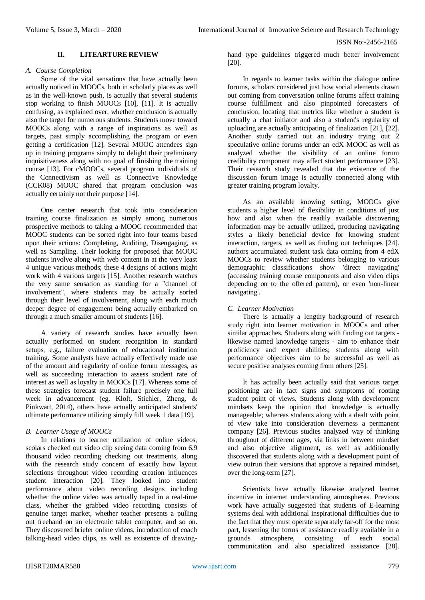## **II. LITEARTURE REVIEW**

#### *A. Course Completion*

Some of the vital sensations that have actually been actually noticed in MOOCs, both in scholarly places as well as in the well-known push, is actually that several students stop working to finish MOOCs [10], [11]. It is actually confusing, as explained over, whether conclusion is actually also the target for numerous students. Students move toward MOOCs along with a range of inspirations as well as targets, past simply accomplishing the program or even getting a certification [12]. Several MOOC attendees sign up in training programs simply to delight their preliminary inquisitiveness along with no goal of finishing the training course [13]. For cMOOCs, several program individuals of the Connectivism as well as Connective Knowledge (CCK08) MOOC shared that program conclusion was actually certainly not their purpose [14].

One center research that took into consideration training course finalization as simply among numerous prospective methods to taking a MOOC recommended that MOOC students can be sorted right into four teams based upon their actions: Completing, Auditing, Disengaging, as well as Sampling. Their looking for proposed that MOOC students involve along with web content in at the very least 4 unique various methods; these 4 designs of actions might work with 4 various targets [15]. Another research watches the very same sensation as standing for a "channel of involvement", where students may be actually sorted through their level of involvement, along with each much deeper degree of engagement being actually embarked on through a much smaller amount of students [16].

A variety of research studies have actually been actually performed on student recognition in standard setups, e.g., failure evaluation of educational institution training. Some analysts have actually effectively made use of the amount and regularity of online forum messages, as well as succeeding interaction to assess student rate of interest as well as loyalty in MOOCs [17]. Whereas some of these strategies forecast student failure precisely one full week in advancement (eg. Kloft, Stiehler, Zheng, & Pinkwart, 2014), others have actually anticipated students' ultimate performance utilizing simply full week 1 data [19].

#### *B. Learner Usage of MOOCs*

In relations to learner utilization of online videos, scolars checked out video clip seeing data coming from 6.9 thousand video recording checking out treatments, along with the research study concern of exactly how layout selections throughout video recording creation influences student interaction [20]. They looked into student performance about video recording designs including whether the online video was actually taped in a real-time class, whether the grabbed video recording consists of genuine target market, whether teacher presents a pulling out freehand on an electronic tablet computer, and so on. They discovered briefer online videos, introduction of coach talking-head video clips, as well as existence of drawinghand type guidelines triggered much better involvement [20].

In regards to learner tasks within the dialogue online forums, scholars considered just how social elements drawn out coming from conversation online forums affect training course fulfillment and also pinpointed forecasters of conclusion, locating that metrics like whether a student is actually a chat initiator and also a student's regularity of uploading are actually anticipating of finalization [21], [22]. Another study carried out an industry trying out 2 speculative online forums under an edX MOOC as well as analyzed whether the visibility of an online forum credibility component may affect student performance [23]. Their research study revealed that the existence of the discussion forum image is actually connected along with greater training program loyalty.

As an available knowing setting, MOOCs give students a higher level of flexibility in conditions of just how and also when the readily available discovering information may be actually utilized, producing navigating styles a likely beneficial device for knowing student interaction, targets, as well as finding out techniques [24]. authors accumulated student task data coming from 4 edX MOOCs to review whether students belonging to various demographic classifications show 'direct navigating' (accessing training course components and also video clips depending on to the offered pattern), or even 'non-linear navigating'.

## *C. Learner Motivation*

There is actually a lengthy background of research study right into learner motivation in MOOCs and other similar approaches. Students along with finding out targets likewise named knowledge targets - aim to enhance their proficiency and expert abilities; students along with performance objectives aim to be successful as well as secure positive analyses coming from others [25].

It has actually been actually said that various target positioning are in fact signs and symptoms of rooting student point of views. Students along with development mindsets keep the opinion that knowledge is actually manageable; whereas students along with a dealt with point of view take into consideration cleverness a permanent company [26]. Previous studies analyzed way of thinking throughout of different ages, via links in between mindset and also objective alignment, as well as additionally discovered that students along with a development point of view outrun their versions that approve a repaired mindset, over the long-term [27].

Scientists have actually likewise analyzed learner incentive in internet understanding atmospheres. Previous work have actually suggested that students of E-learning systems deal with additional inspirational difficulties due to the fact that they must operate separately far-off for the most part, lessening the forms of assistance readily available in a grounds atmosphere, consisting of each social communication and also specialized assistance [28].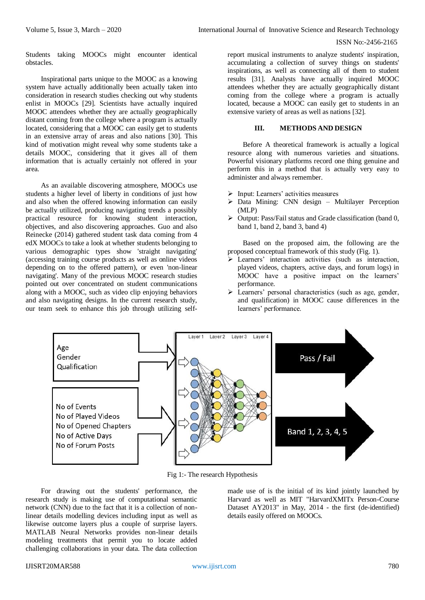Students taking MOOCs might encounter identical obstacles.

Inspirational parts unique to the MOOC as a knowing system have actually additionally been actually taken into consideration in research studies checking out why students enlist in MOOCs [29]. Scientists have actually inquired MOOC attendees whether they are actually geographically distant coming from the college where a program is actually located, considering that a MOOC can easily get to students in an extensive array of areas and also nations [30]. This kind of motivation might reveal why some students take a details MOOC, considering that it gives all of them information that is actually certainly not offered in your area.

As an available discovering atmosphere, MOOCs use students a higher level of liberty in conditions of just how and also when the offered knowing information can easily be actually utilized, producing navigating trends a possibly practical resource for knowing student interaction, objectives, and also discovering approaches. Guo and also Reinecke (2014) gathered student task data coming from 4 edX MOOCs to take a look at whether students belonging to various demographic types show 'straight navigating' (accessing training course products as well as online videos depending on to the offered pattern), or even 'non-linear navigating'. Many of the previous MOOC research studies pointed out over concentrated on student communications along with a MOOC, such as video clip enjoying behaviors and also navigating designs. In the current research study, our team seek to enhance this job through utilizing self-

report musical instruments to analyze students' inspiration, accumulating a collection of survey things on students' inspirations, as well as connecting all of them to student results [31]. Analysts have actually inquired MOOC attendees whether they are actually geographically distant coming from the college where a program is actually located, because a MOOC can easily get to students in an extensive variety of areas as well as nations [32].

## **III. METHODS AND DESIGN**

Before A theoretical framework is actually a logical resource along with numerous varieties and situations. Powerful visionary platforms record one thing genuine and perform this in a method that is actually very easy to administer and always remember.

- $\triangleright$  Input: Learners' activities measures
- $\triangleright$  Data Mining: CNN design Multilayer Perception (MLP)
- $\triangleright$  Output: Pass/Fail status and Grade classification (band 0, band 1, band 2, band 3, band 4)

Based on the proposed aim, the following are the proposed conceptual framework of this study (Fig. 1).

- Learners' interaction activities (such as interaction, played videos, chapters, active days, and forum logs) in MOOC have a positive impact on the learners' performance.
- Learners' personal characteristics (such as age, gender, and qualification) in MOOC cause differences in the learners' performance.



Fig 1:- The research Hypothesis

For drawing out the students' performance, the research study is making use of computational semantic network (CNN) due to the fact that it is a collection of nonlinear details modelling devices including input as well as likewise outcome layers plus a couple of surprise layers. MATLAB Neural Networks provides non-linear details modeling treatments that permit you to locate added challenging collaborations in your data. The data collection

made use of is the initial of its kind jointly launched by Harvard as well as MIT "HarvardXMITx Person-Course Dataset AY2013" in May, 2014 - the first (de-identified) details easily offered on MOOCs.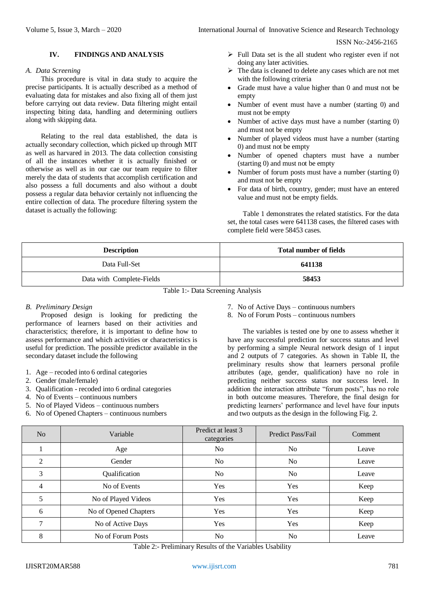## **IV. FINDINGS AND ANALYSIS**

#### *A. Data Screening*

This procedure is vital in data study to acquire the precise participants. It is actually described as a method of evaluating data for mistakes and also fixing all of them just before carrying out data review. Data filtering might entail inspecting biting data, handling and determining outliers along with skipping data.

Relating to the real data established, the data is actually secondary collection, which picked up through MIT as well as harvared in 2013. The data collection consisting of all the instances whether it is actually finished or otherwise as well as in our cae our team require to filter merely the data of students that accomplish certification and also possess a full documents and also without a doubt possess a regular data behavior certainly not influencing the entire collection of data. The procedure filtering system the dataset is actually the following:

- $\triangleright$  Full Data set is the all student who register even if not doing any later activities.
- $\triangleright$  The data is cleaned to delete any cases which are not met with the following criteria
- Grade must have a value higher than 0 and must not be empty
- Number of event must have a number (starting 0) and must not be empty
- Number of active days must have a number (starting 0) and must not be empty
- Number of played videos must have a number (starting 0) and must not be empty
- Number of opened chapters must have a number (starting 0) and must not be empty
- Number of forum posts must have a number (starting 0) and must not be empty
- For data of birth, country, gender; must have an entered value and must not be empty fields.

Table 1 demonstrates the related statistics. For the data set, the total cases were 641138 cases, the filtered cases with complete field were 58453 cases.

| <b>Description</b>        | <b>Total number of fields</b> |
|---------------------------|-------------------------------|
| Data Full-Set             | 641138                        |
| Data with Complete-Fields | 58453                         |

Table 1:- Data Screening Analysis

## *B. Preliminary Design*

Proposed design is looking for predicting the performance of learners based on their activities and characteristics; therefore, it is important to define how to assess performance and which activities or characteristics is useful for prediction. The possible predictor available in the secondary dataset include the following

- 1. Age recoded into 6 ordinal categories
- 2. Gender (male/female)
- 3. Qualification recoded into 6 ordinal categories
- 4. No of Events continuous numbers
- 5. No of Played Videos continuous numbers
- 6. No of Opened Chapters continuous numbers
- 7. No of Active Days continuous numbers
- 8. No of Forum Posts continuous numbers

The variables is tested one by one to assess whether it have any successful prediction for success status and level by performing a simple Neural network design of 1 input and 2 outputs of 7 categories. As shown in Table II, the preliminary results show that learners personal profile attributes (age, gender, qualification) have no role in predicting neither success status nor success level. In addition the interaction attribute "forum posts", has no role in both outcome measures. Therefore, the final design for predicting learners' performance and level have four inputs and two outputs as the design in the following Fig. 2.

| No | Variable              | Predict at least 3<br>categories | Predict Pass/Fail | Comment |
|----|-----------------------|----------------------------------|-------------------|---------|
|    | Age                   | N <sub>o</sub>                   | N <sub>o</sub>    | Leave   |
| 2  | Gender                | N <sub>o</sub>                   | N <sub>o</sub>    | Leave   |
| 3  | Qualification         | N <sub>o</sub>                   | N <sub>o</sub>    | Leave   |
| 4  | No of Events          | Yes                              | Yes               | Keep    |
| 5  | No of Played Videos   | Yes                              | Yes               | Keep    |
| 6  | No of Opened Chapters | Yes                              | Yes               | Keep    |
| 7  | No of Active Days     | Yes                              | Yes               | Keep    |
| 8  | No of Forum Posts     | No                               | No                | Leave   |

Table 2:- Preliminary Results of the Variables Usability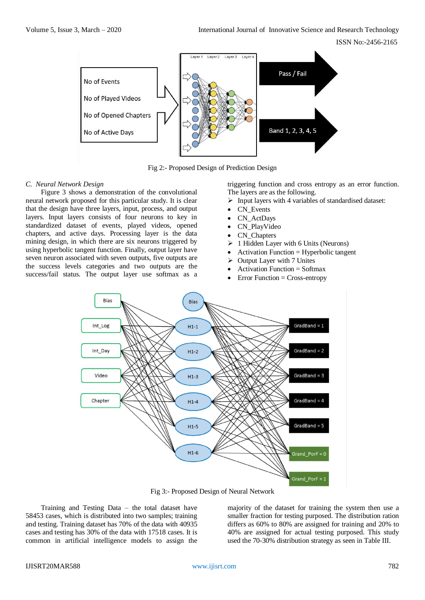

Fig 2:- Proposed Design of Prediction Design

### *C. Neural Network Design*

Figure 3 shows a demonstration of the convolutional neural network proposed for this particular study. It is clear that the design have three layers, input, process, and output layers. Input layers consists of four neurons to key in standardized dataset of events, played videos, opened chapters, and active days. Processing layer is the data mining design, in which there are six neurons triggered by using hyperbolic tangent function. Finally, output layer have seven neuron associated with seven outputs, five outputs are the success levels categories and two outputs are the success/fail status. The output layer use softmax as a triggering function and cross entropy as an error function. The layers are as the following.

- $\triangleright$  Input layers with 4 variables of standardised dataset:
- CN\_Events
- CN ActDays
- CN\_PlayVideo
- CN\_Chapters
- $\geq 1$  Hidden Layer with 6 Units (Neurons)
- Activation Function = Hyperbolic tangent
- $\triangleright$  Output Layer with 7 Unites
- Activation Function = Softmax
- Error Function = Cross-entropy



Fig 3:- Proposed Design of Neural Network

Training and Testing Data – the total dataset have 58453 cases, which is distributed into two samples; training and testing. Training dataset has 70% of the data with 40935 cases and testing has 30% of the data with 17518 cases. It is common in artificial intelligence models to assign the majority of the dataset for training the system then use a smaller fraction for testing purposed. The distribution ration differs as 60% to 80% are assigned for training and 20% to 40% are assigned for actual testing purposed. This study used the 70-30% distribution strategy as seen in Table III.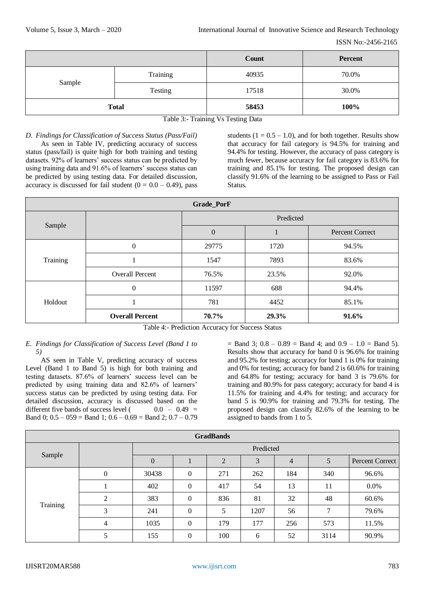|              |          | Count | <b>Percent</b> |
|--------------|----------|-------|----------------|
| Sample       | Training | 40935 | 70.0%          |
|              | Testing  | 17518 | 30.0%          |
| <b>Total</b> |          | 58453 | 100%           |

Table 3:- Training Vs Testing Data

# *D. Findings for Classification of Success Status (Pass/Fail)*

As seen in Table IV, predicting accuracy of success status (pass/fail) is quite high for both training and testing datasets. 92% of learners' success status can be predicted by using training data and 91.6% of learners' success status can be predicted by using testing data. For detailed discussion, accuracy is discussed for fail student  $(0 = 0.0 - 0.49)$ , pass

students  $(1 = 0.5 - 1.0)$ , and for both together. Results show that accuracy for fail category is 94.5% for training and 94.4% for testing. However, the accuracy of pass category is much fewer, because accuracy for fail category is 83.6% for training and 85.1% for testing. The proposed design can classify 91.6% of the learning to be assigned to Pass or Fail Status.

| Grade_PorF |                        |                  |       |                        |  |  |  |
|------------|------------------------|------------------|-------|------------------------|--|--|--|
|            |                        | Predicted        |       |                        |  |  |  |
| Sample     |                        | $\boldsymbol{0}$ |       | <b>Percent Correct</b> |  |  |  |
|            | $\mathbf{0}$           | 29775            | 1720  | 94.5%                  |  |  |  |
| Training   |                        | 1547             | 7893  | 83.6%                  |  |  |  |
|            | <b>Overall Percent</b> | 76.5%            | 23.5% | 92.0%                  |  |  |  |
|            | $\mathbf{0}$           | 11597            | 688   | 94.4%                  |  |  |  |
| Holdout    |                        | 781              | 4452  | 85.1%                  |  |  |  |
|            | <b>Overall Percent</b> | 70.7%            | 29.3% | 91.6%                  |  |  |  |

Table 4:- Prediction Accuracy for Success Status

## *E. Findings for Classification of Success Level (Band 1 to 5)*

AS seen in Table V, predicting accuracy of success Level (Band 1 to Band 5) is high for both training and testing datasets. 87.6% of learners' success level can be predicted by using training data and 82.6% of learners' success status can be predicted by using testing data. For detailed discussion, accuracy is discussed based on the different five bands of success level ( $0.0 - 0.49 =$ Band 0;  $0.5 - 059 =$  Band 1;  $0.6 - 0.69 =$  Band 2;  $0.7 - 0.79$   $=$  Band 3; 0.8 – 0.89 = Band 4; and 0.9 – 1.0 = Band 5). Results show that accuracy for band 0 is 96.6% for training and 95.2% for testing; accuracy for band 1 is 0% for training and 0% for testing; accuracy for band 2 is 60.6% for training and 64.8% for testing; accuracy for band 3 is 79.6% for training and 80.9% for pass category; accuracy for band 4 is 11.5% for training and 4.4% for testing; and accuracy for band 5 is 90.9% for training and 79.3% for testing. The proposed design can classify 82.6% of the learning to be assigned to bands from 1 to 5.

| <b>GradBands</b> |              |           |          |                |      |     |      |                 |  |
|------------------|--------------|-----------|----------|----------------|------|-----|------|-----------------|--|
|                  |              | Predicted |          |                |      |     |      |                 |  |
| Sample           |              | $\Omega$  |          | $\overline{2}$ | 3    | 4   | 5    | Percent Correct |  |
|                  | $\mathbf{0}$ | 30438     | $\theta$ | 271            | 262  | 184 | 340  | 96.6%           |  |
|                  |              | 402       | $\theta$ | 417            | 54   | 13  | 11   | 0.0%            |  |
|                  | 2            | 383       | $\Omega$ | 836            | 81   | 32  | 48   | 60.6%           |  |
| Training         | 3            | 241       | $\Omega$ | 5              | 1207 | 56  | 7    | 79.6%           |  |
|                  | 4            | 1035      | $\Omega$ | 179            | 177  | 256 | 573  | 11.5%           |  |
|                  | 5            | 155       | $\Omega$ | 100            | 6    | 52  | 3114 | 90.9%           |  |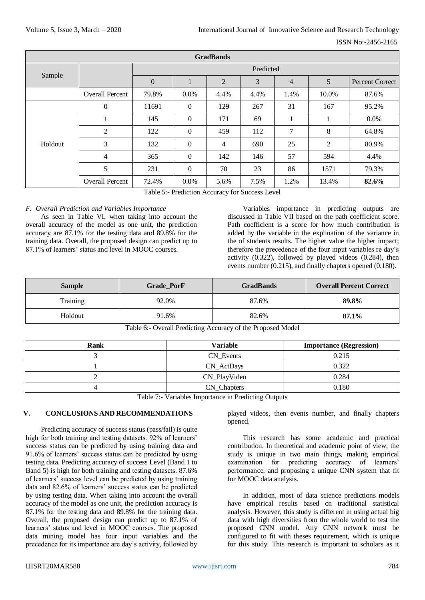| <b>GradBands</b> |                        |                |                |                |      |                |                |                        |
|------------------|------------------------|----------------|----------------|----------------|------|----------------|----------------|------------------------|
|                  |                        | Predicted      |                |                |      |                |                |                        |
| Sample           |                        | $\overline{0}$ |                | $\overline{2}$ | 3    | $\overline{4}$ | 5              | <b>Percent Correct</b> |
|                  | <b>Overall Percent</b> | 79.8%          | $0.0\%$        | 4.4%           | 4.4% | 1.4%           | 10.0%          | 87.6%                  |
|                  | $\mathbf{0}$           | 11691          | $\overline{0}$ | 129            | 267  | 31             | 167            | 95.2%                  |
|                  |                        | 145            | $\overline{0}$ | 171            | 69   |                | $\mathbf I$    | 0.0%                   |
|                  | 2                      | 122            | $\overline{0}$ | 459            | 112  | 7              | 8              | 64.8%                  |
| Holdout          | 3                      | 132            | $\overline{0}$ | $\overline{4}$ | 690  | 25             | $\overline{2}$ | 80.9%                  |
|                  | $\overline{4}$         | 365            | $\theta$       | 142            | 146  | 57             | 594            | 4.4%                   |
|                  | 5                      | 231            | $\overline{0}$ | 70             | 23   | 86             | 1571           | 79.3%                  |
|                  | <b>Overall Percent</b> | 72.4%          | 0.0%           | 5.6%           | 7.5% | 1.2%           | 13.4%          | 82.6%                  |

Table 5:- Prediction Accuracy for Success Level

# *F. Overall Prediction and Variables Importance*

As seen in Table VI, when taking into account the overall accuracy of the model as one unit, the prediction accuracy are 87.1% for the testing data and 89.8% for the training data. Overall, the proposed design can predict up to 87.1% of learners' status and level in MOOC courses.

Variables importance in predicting outputs are discussed in Table VII based on the path coefficient score. Path coefficient is a score for how much contribution is added by the variable in the explination of the variance in the of students results. The higher value the higher impact; therefore the precedence of the four input variables re day's activity (0.322), followed by played videos (0.284), then events number (0.215), and finally chapters opened (0.180).

| <b>Sample</b> | Grade_PorF | <b>GradBands</b> | <b>Overall Percent Correct</b> |  |
|---------------|------------|------------------|--------------------------------|--|
| Training      | 92.0%      | 87.6%            | 89.8%                          |  |
| Holdout       | 91.6%      | 82.6%            | 87.1%                          |  |

Table 6:- Overall Predicting Accuracy of the Proposed Model

| Rank | <b>Variable</b> | <b>Importance (Regression)</b> |  |
|------|-----------------|--------------------------------|--|
|      | CN Events       | 0.215                          |  |
|      | CN_ActDays      | 0.322                          |  |
|      | CN_PlayVideo    | 0.284                          |  |
|      | CN_Chapters     | 0.180                          |  |

Table 7:- Variables Importance in Predicting Outputs

#### **V. CONCLUSIONS AND RECOMMENDATIONS**

Predicting accuracy of success status (pass/fail) is quite high for both training and testing datasets. 92% of learners' success status can be predicted by using training data and 91.6% of learners' success status can be predicted by using testing data. Predicting accuracy of success Level (Band 1 to Band 5) is high for both training and testing datasets. 87.6% of learners' success level can be predicted by using training data and 82.6% of learners' success status can be predicted by using testing data. When taking into account the overall accuracy of the model as one unit, the prediction accuracy is 87.1% for the testing data and 89.8% for the training data. Overall, the proposed design can predict up to 87.1% of learners' status and level in MOOC courses. The proposed data mining model has four input variables and the precedence for its importance are day's activity, followed by

played videos, then events number, and finally chapters opened.

This research has some academic and practical contribution. In theoretical and academic point of view, the study is unique in two main things, making empirical examination for predicting accuracy of learners' performance, and proposing a unique CNN system that fit for MOOC data analysis.

In addition, most of data science predictions models have empirical results based on traditional statistical analysis. However, this study is different in using actual big data with high diversities from the whole world to test the proposed CNN model. Any CNN network must be configured to fit with theses requirement, which is unique for this study. This research is important to scholars as it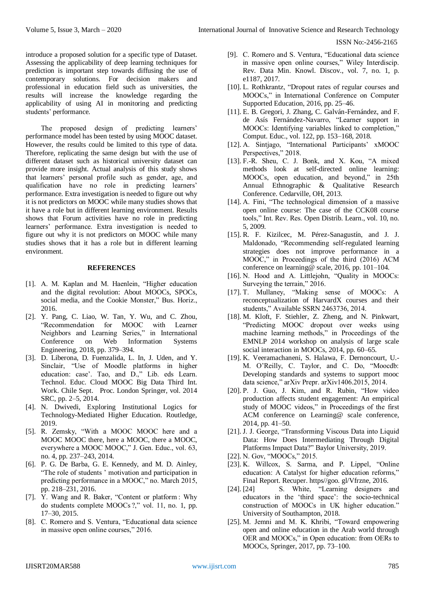introduce a proposed solution for a specific type of Dataset. Assessing the applicability of deep learning techniques for prediction is important step towards diffusing the use of contemporary solutions. For decision makers and professional in education field such as universities, the results will increase the knowledge regarding the applicability of using AI in monitoring and predicting students' performance.

The proposed design of predicting learners' performance model has been tested by using MOOC dataset. However, the results could be limited to this type of data. Therefore, replicating the same design but with the use of different dataset such as historical university dataset can provide more insight. Actual analysis of this study shows that learners' personal profile such as gender, age, and qualification have no role in predicting learners' performance. Extra investigation is needed to figure out why it is not predictors on MOOC while many studies shows that it have a role but in different learning environment. Results shows that Forum activities have no role in predicting learners' performance. Extra investigation is needed to figure out why it is not predictors on MOOC while many studies shows that it has a role but in different learning environment.

## **REFERENCES**

- [1]. A. M. Kaplan and M. Haenlein, "Higher education and the digital revolution: About MOOCs, SPOCs, social media, and the Cookie Monster," Bus. Horiz., 2016.
- [2]. Y. Pang, C. Liao, W. Tan, Y. Wu, and C. Zhou, "Recommendation for MOOC with Learner Neighbors and Learning Series," in International Conference on Web Information Systems Engineering, 2018, pp. 379–394.
- [3]. D. Liberona, D. Fuenzalida, L. In, J. Uden, and Y. Sinclair, "Use of Moodle platforms in higher education: case'. Tao, and D.," Lib. eds Learn. Technol. Educ. Cloud MOOC Big Data Third Int. Work. Chile Sept. Proc. London Springer, vol. 2014 SRC, pp. 2–5, 2014.
- [4]. N. Dwivedi, Exploring Institutional Logics for Technology-Mediated Higher Education. Routledge, 2019.
- [5]. R. Zemsky, "With a MOOC MOOC here and a MOOC MOOC there, here a MOOC, there a MOOC, everywhere a MOOC MOOC," J. Gen. Educ., vol. 63, no. 4, pp. 237–243, 2014.
- [6]. P. G. De Barba, G. E. Kennedy, and M. D. Ainley, "The role of students ' motivation and participation in predicting performance in a MOOC," no. March 2015, pp. 218–231, 2016.
- [7]. Y. Wang and R. Baker, "Content or platform : Why do students complete MOOCs ?," vol. 11, no. 1, pp. 17–30, 2015.
- [8]. C. Romero and S. Ventura, "Educational data science in massive open online courses," 2016.
- [9]. C. Romero and S. Ventura, "Educational data science in massive open online courses," Wiley Interdiscip. Rev. Data Min. Knowl. Discov., vol. 7, no. 1, p. e1187, 2017.
- [10]. L. Rothkrantz, "Dropout rates of regular courses and MOOCs," in International Conference on Computer Supported Education, 2016, pp. 25–46.
- [11]. E. B. Gregori, J. Zhang, C. Galván-Fernández, and F. de Asís Fernández-Navarro, "Learner support in MOOCs: Identifying variables linked to completion," Comput. Educ., vol. 122, pp. 153–168, 2018.
- [12]. A. Sintjago, "International Participants' xMOOC Perspectives," 2018.
- [13]. F.-R. Sheu, C. J. Bonk, and X. Kou, "A mixed methods look at self-directed online learning: MOOCs, open education, and beyond," in 25th Annual Ethnographic & Qualitative Research Conference. Cedarville, OH, 2013.
- [14]. A. Fini, "The technological dimension of a massive open online course: The case of the CCK08 course tools," Int. Rev. Res. Open Distrib. Learn., vol. 10, no. 5, 2009.
- [15]. R. F. Kizilcec, M. Pérez-Sanagustín, and J. J. Maldonado, "Recommending self-regulated learning strategies does not improve performance in a MOOC," in Proceedings of the third (2016) ACM conference on learning@ scale, 2016, pp. 101–104.
- [16]. N. Hood and A. Littlejohn, "Quality in MOOCs: Surveying the terrain," 2016.
- [17]. T. Mullaney, "Making sense of MOOCs: A reconceptualization of HarvardX courses and their students," Available SSRN 2463736, 2014.
- [18]. M. Kloft, F. Stiehler, Z. Zheng, and N. Pinkwart, "Predicting MOOC dropout over weeks using machine learning methods," in Proceedings of the EMNLP 2014 workshop on analysis of large scale social interaction in MOOCs, 2014, pp. 60–65.
- [19]. K. Veeramachaneni, S. Halawa, F. Dernoncourt, U.- M. O'Reilly, C. Taylor, and C. Do, "Moocdb: Developing standards and systems to support mooc data science," arXiv Prepr. arXiv1406.2015, 2014.
- [20]. P. J. Guo, J. Kim, and R. Rubin, "How video production affects student engagement: An empirical study of MOOC videos," in Proceedings of the first ACM conference on Learning@ scale conference, 2014, pp. 41–50.
- [21]. J. J. George, "Transforming Viscous Data into Liquid Data: How Does Intermediating Through Digital Platforms Impact Data?" Baylor University, 2019.
- [22]. N. Gov, "MOOCs," 2015.
- [23]. K. Willcox, S. Sarma, and P. Lippel, "Online education: A Catalyst for higher education reforms," Final Report. Recuper. https//goo. gl/Vfrzne, 2016.
- [24]. [24] S. White, "Learning designers and educators in the 'third space': the socio-technical construction of MOOCs in UK higher education." University of Southampton, 2018.
- [25]. M. Jemni and M. K. Khribi, "Toward empowering open and online education in the Arab world through OER and MOOCs," in Open education: from OERs to MOOCs, Springer, 2017, pp. 73–100.